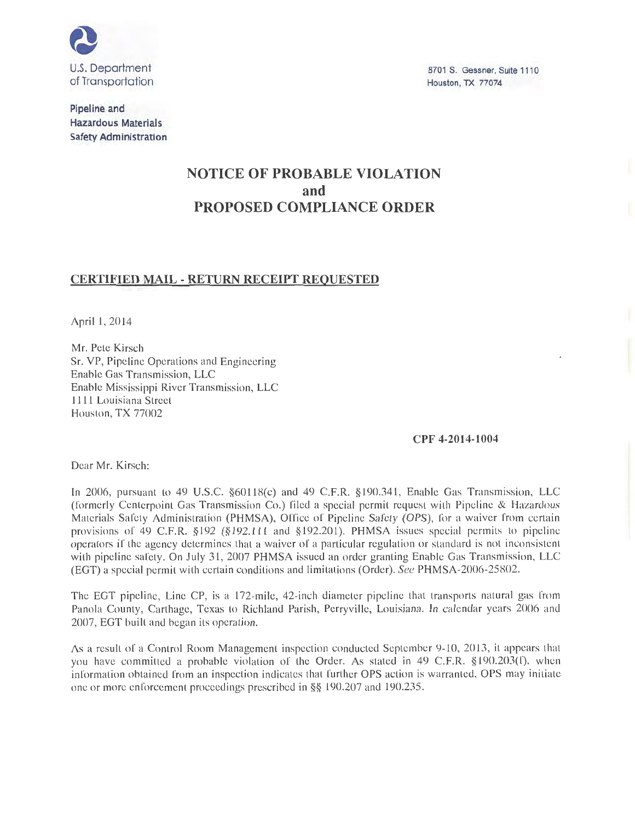

**Pipeline and Hazardous Materials Safety Administration** 

8701 S. Gessner, Suite 1110 Houston, TX 77074

# **NOTICE OF PROBABLE VIOLATION and PROPOSED COMPLIANCE ORDER**

### **CERTIFIED MAIL- RETURN RECEIPT REQUESTED**

April 1, 2014

Mr. Pete Kirsch Sr. VP, Pipeline Operations and Engineering Enable Gas Transmission, LLC Enable Mississippi River Transmission, LLC 1111 Louisiana Street Houston, TX 77002

**CPF 4-2014-1004** 

Dear Mr. Kirsch:

In 2006, pursuant to 49 U.S.C. §60118(c) and 49 C.F.R. §190.341, Enable Gas Transmission, LLC (formerly Centerpoint Gas Transmission Co.) filed a special permit request with Pipeline & Hazardous Materials Safety Administration (PHMSA), Office of Pipeline Safety (OPS), for a waiver from certain provisions of 49 C.F.R. §192 (§192.111 and §192.201). PHMSA issues special permits to pipeline operators if the agency determines that a waiver of a particular regulation or standard is not inconsistent with pipeline safety. On July 31, 2007 PHMSA issued an order granting Enable Gas Transmission, LLC (EGT) a special permit with certain conditions and limitations (Order). *See* PHMSA-2006-25802.

The EGT pipeline, Line CP, is a 172-mile, 42-inch diameter pipeline that transports natural gas from Panola County, Carthage, Texas to Richland Parish, Perryville, Louisiana. In calendar years 2006 and 2007, EGT built and began its operation.

As a result of a Control Room Management inspection conducted September 9-10, 2013, it appears that you have committed a probable violation of the Order. As stated in 49 C.F.R. §190.203(1), when information obtained from an inspection indicates that further OPS action is warranted, OPS may initiate one or more enforcement proceedings prescribed in§§ 190.207 and 190.235.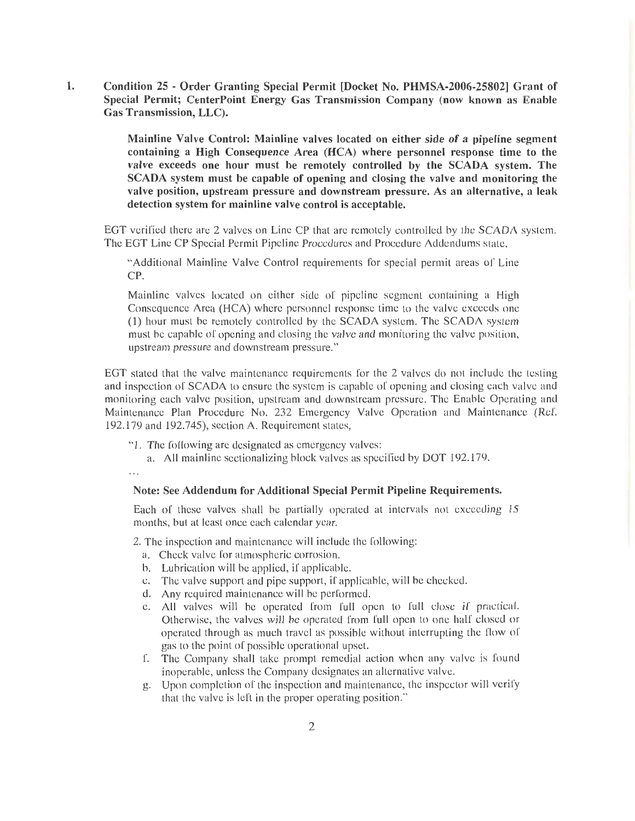1. Condition 25 - Order Granting Special Permit [Docket No. PHMSA-2006-25802] Grant of Special Permit; CenterPoint Energy Gas Transmission Company (now known as Enable Gas Transmission, LLC).

> Mainline Valve Control: Mainline valves located on either side of a pipeline segment containing a High Consequence Area (HCA) where personnel response time to the valve exceeds one hour must be remotely controlled by the SCADA system. The SCADA system must be capable of opening and closing the valve and monitoring the valve position, upstream pressure and downstream pressure. As an alternative, a leak detection system for mainline valve control is acceptable.

EGT verified there are 2 valves on Line CP that are remotely controlled by the SCADA ystem. The EGT Line CP Special Permit Pipeline Procedures and Procedure Addendums state,

"Additional Mainline Valve Control requirements for special permit areas of Line CP.

Mainline valves located on either side of pipeline segment containing a High Consequence Area (HCA) where personnel response time to the valve exceeds one (1) hour must be remotely controlled by the SCADA system. The SCADA system must be capable of opening and closing the valve and monitoring the valve position, upstream pressure and downstream pressure. "

EGT stated that the valve maintenance requirements for the 2 valves do not include the testing and inspection of SCADA to ensure the system is capable of opening and closing each valve and monitoring each valve position, upstream and downstream pressure. The Enable Operating and Maintenance Plan Procedure No. 232 Emergency Valve Operation and Maintenance (Ref. 192.179 and 192.745), section A. Requirement states,

"1. The following are designated as emergency valves:

a. All mainline sectionalizing block valves as specified by DOT 192.179.

 $\dddotsc$ 

### Note: See Addendum for Additional Special Permit Pipeline Requirements.

Each of these valves shall be partially operated at intervals not exceeding 15 months, but at least once each calendar year.

2. The inspection and maintenance will include the following:

- a. Check valve for atmospheric corrosion.
- b. Lubrication will be applied, if applicable.
- c. The valve support and pipe support, if applicable, will be checked.
- d. Any required maintenance will be performed.
- e. All valves will be operated from full open to full close if practical. Otherwise, the valves will be operated from full open to one half closed or operated through as much travel as possible without interrupting the flow of gas to the point of possible operational upset.
- f. The Company shall take prompt remedial action when any valve is found inoperable, unless the Company designates an alternative valve.
- g. Upon completion of the inspection and maintenance, the inspector will verify that the valve is left in the proper operating position."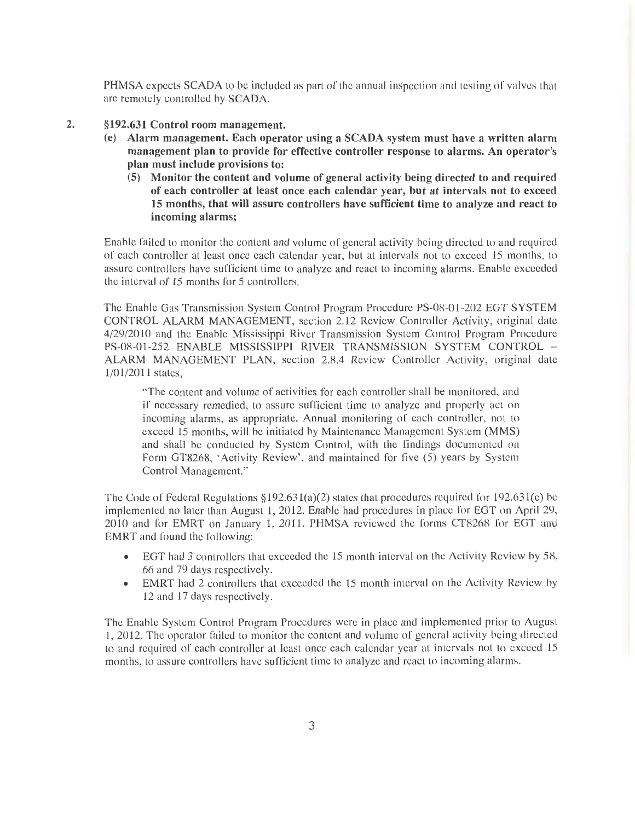PHMSA expects SCADA to be included as part of the annual inspection and testing of valves that are remotely controlled by SCADA.

- 2. §192.631 Control room management.
	- (e) Alarm management. Each operator using a SCADA system must have a written alarm management plan to provide for effective controller response to alarms. An operator's plan must include provisions to:
		- (5) Monitor the content and volume of general activity being directed to and required of each controller at least once each calendar year, but at intervals not to exceed 15 months, that will assure controllers have sufficient time to analyze and react to incoming alarms;

Enable failed to monitor the content and volume of general activity being directed to and required of each controller at least once each calendar year, but at intervals nol to exceed 15 months, to assure controllers have sufficient time to analyze and react to incoming alarms. Enable exceeded Lhe interval of 15 months for 5 controllers.

The Enable Gas Transmission System Control Program Procedure PS-08-01-202 EGT SYSTEM CONTROL ALARM MANAGEMENT, section 2.12 Review Controller Activity, original dale 4/29/2010 and the Enable Mississippi River Transmission System Control Program Procedure PS-08-01-252 ENABLE MISSISSIPPI RIVER TRANSMISSION SYSTEM CONTROL -ALARM MANAGEMENT PLAN, section 2.8.4 Review Controller Activity, original date 1/01/2011 stales,

"The content and volume of activities for each controller shall be monitored, and if necessary remedied, to assure sufficient time to analyze and properly acl on incoming alarms, as appropriate. Annual monitoring of each controller, not to exceed 15 months, will be initiated by Maintenance Management System (MMS) and shall be conducted by System Control, with the findings documented on Form GT8268, 'Activity Review', and maintained for five (5) years by System Control Management."

The Code of Federal Regulations §192.631(a)(2) states that procedures required for  $192.631(c)$  be implemented no later than August 1, 2012. Enable had procedures in place for EGT on April 29, 2010 and for EMRT on January 1, 2011. PHMSA reviewed the forms CT8268 for EGT and EMRT and found the following:

- EGT had 3 controllers that exceeded the 15 month interval on the Activity Review by 58, 66 and 79 days respectively.
- EMRT had 2 controllers that exceeded the 15 month interval on the Activity Review by 12 and 17 days respectively.

The Enable System Control Program Procedures were in place and implemented prior to August 1, 2012. The operator failed to monitor the content and volume of general activity being directed to and required of each controller at least once each calendar year al intervals not to exceed 15 months, to assure controllers have sufficient time to analyze and react to incoming alarms.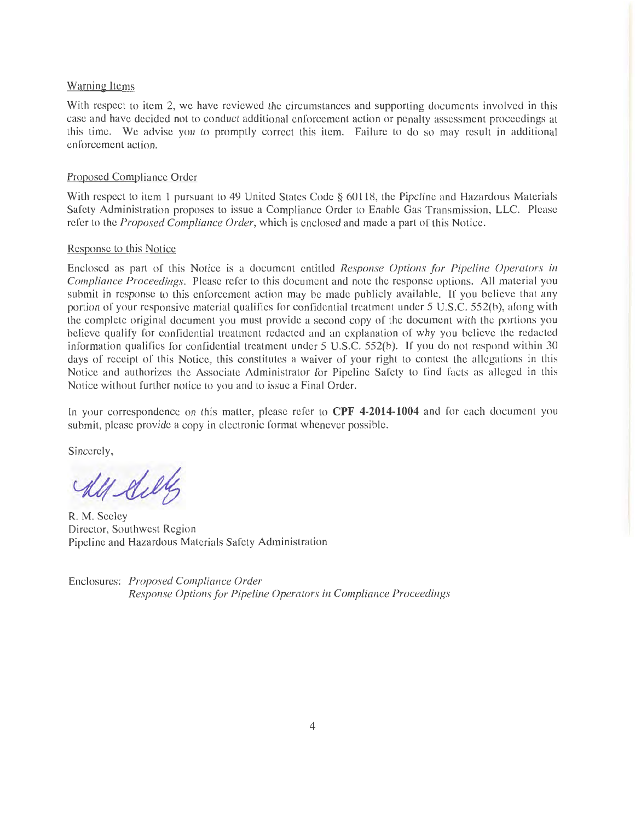### Warning Items

With respect to item 2, we have reviewed the circumstances and supporting documents involved in this case and have decided not to conduct additional enforcement action or penalty assessment proceedings at this time. We advise you to promptly correct this item. Failure to do so may result in additional enforcement action.

#### Proposed Compliance Order

With respect to item 1 pursuant to 49 United States Code § 60118, the Pipeline and Hazardous Materials Safety Administration proposes to issue a Compliance Order to Enable Gas Transmission, LLC. Please refer to the *Proposed Compliance Order,* which is enclosed and made a part of this Notice.

#### Response to this Notice

Enclosed as part of this Notice is a document entitled *Response Options for Pipeline Operators in Compliance Proceedings.* Please refer to this document and note the response options. All material you submit in response to this enforcement action may be made publicly available. If you believe that any portion of your responsive material qualifies for confidential treatment under 5 U.S.C. 552(b), along with the complete original document you must provide a second copy of the document with the portions you believe qualify for confidential treatment redacted and an explanation of why you believe the redacted information qualifies for confidential treatment under 5 U.S.C. 552(b). If you do not respond within 30 days of receipt of this Notice, this constitutes a waiver of your right to contest the allegations in this Notice and authorizes the Associate Administrator for Pipeline Safety to find facts as alleged in this Notice without further notice to you and to issue a Final Order.

In your corre pondence on this matter, please refer to **CPF 4-2014-1004** and for each document you submit, please provide a copy in electronic format whenever possible.

Sincerely,

R. M. Seeley Director, Southwest Region Pipeline and Hazardous Materials Safety Administration

Enclosures: *Proposed Compliance Order Response Options for Pipeline Operators in Compliance Proceedings*